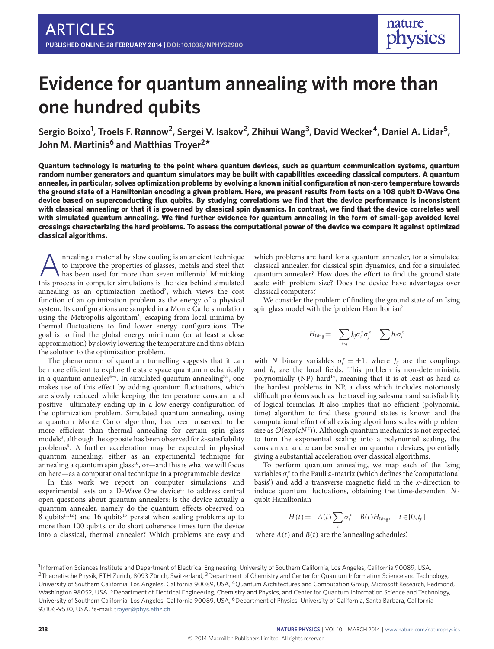# **Evidence for quantum annealing with more than one hundred qubits**

**Sergio Boixo<sup>1</sup> , Troels F. Rønnow<sup>2</sup> , Sergei V. Isakov<sup>2</sup> , Zhihui Wang3 , David Wecker<sup>4</sup> , Daniel A. Lidar<sup>5</sup> , John M. Martinis<sup>6</sup> and Matthias Troyer<sup>2</sup> \***

**Quantum technology is maturing to the point where quantum devices, such as quantum communication systems, quantum random number generators and quantum simulators may be built with capabilities exceeding classical computers. A quantum annealer, in particular, solves optimization problems by evolving a known initial configuration at non-zero temperature towards the ground state of a Hamiltonian encoding a given problem. Here, we present results from tests on a 108 qubit D-Wave One device based on superconducting flux qubits. By studying correlations we find that the device performance is inconsistent with classical annealing or that it is governed by classical spin dynamics. In contrast, we find that the device correlates well with simulated quantum annealing. We find further evidence for quantum annealing in the form of small-gap avoided level crossings characterizing the hard problems. To assess the computational power of the device we compare it against optimized classical algorithms.**

A nnealing a material by slow cooling is an ancient technique<br>to improve the properties of glasses, metals and steel that<br>has been used for more than seven millennia<sup>1</sup>.Mimicking<br>this process in computer simulations is the nnealing a material by slow cooling is an ancient technique to improve the properties of glasses, metals and steel that has been used for more than seven millennia<sup>[1](#page-5-0)</sup>. Mimicking annealing as an optimization method<sup>[2](#page-5-1)</sup>, which views the cost function of an optimization problem as the energy of a physical system. Its configurations are sampled in a Monte Carlo simulation using the Metropolis algorithm<sup>[3](#page-5-2)</sup>, escaping from local minima by thermal fluctuations to find lower energy configurations. The goal is to find the global energy minimum (or at least a close approximation) by slowly lowering the temperature and thus obtain the solution to the optimization problem.

The phenomenon of quantum tunnelling suggests that it can be more efficient to explore the state space quantum mechanically in a quantum annealer<sup>4-[6](#page-5-4)</sup>. In simulated quantum annealing<sup>[7,](#page-5-5)[8](#page-5-6)</sup>, one makes use of this effect by adding quantum fluctuations, which are slowly reduced while keeping the temperature constant and positive—ultimately ending up in a low-energy configuration of the optimization problem. Simulated quantum annealing, using a quantum Monte Carlo algorithm, has been observed to be more efficient than thermal annealing for certain spin glass models<sup>[8](#page-5-6)</sup>, although the opposite has been observed for *k*-satisfiability problems<sup>[9](#page-5-7)</sup>. A further acceleration may be expected in physical quantum annealing, either as an experimental technique for annealing a quantum spin glass<sup>[10](#page-5-8)</sup>, or—and this is what we will focus on here—as a computational technique in a programmable device.

In this work we report on computer simulations and experimental tests on a D-Wave One device<sup>[11](#page-5-9)</sup> to address central open questions about quantum annealers: is the device actually a quantum annealer, namely do the quantum effects observed on  $8$  qubits<sup>[11](#page-5-9)[,12](#page-5-10)</sup>) and 16 qubits<sup>[13](#page-5-11)</sup> persist when scaling problems up to more than 100 qubits, or do short coherence times turn the device into a classical, thermal annealer? Which problems are easy and

which problems are hard for a quantum annealer, for a simulated classical annealer, for classical spin dynamics, and for a simulated quantum annealer? How does the effort to find the ground state scale with problem size? Does the device have advantages over classical computers?

We consider the problem of finding the ground state of an Ising spin glass model with the 'problem Hamiltonian'

$$
H_{\text{Ising}} = -\sum_{i < j} J_{ij} \sigma_i^z \sigma_j^z - \sum_i h_i \sigma_i^z
$$

with N binary variables  $\sigma_i^z = \pm 1$ , where  $J_{ij}$  are the couplings and  $h_i$  are the local fields. This problem is non-deterministic polynomially (NP) hard<sup>[14](#page-5-12)</sup>, meaning that it is at least as hard as the hardest problems in NP, a class which includes notoriously difficult problems such as the travelling salesman and satisfiability of logical formulas. It also implies that no efficient (polynomial time) algorithm to find these ground states is known and the computational effort of all existing algorithms scales with problem size as  $\mathcal{O}(\exp(cN^a))$ . Although quantum mechanics is not expected to turn the exponential scaling into a polynomial scaling, the constants c and a can be smaller on quantum devices, potentially giving a substantial acceleration over classical algorithms.

To perform quantum annealing, we map each of the Ising variables  $\sigma_i^z$  to the Pauli  $z$ -matrix (which defines the 'computational basis') and add a transverse magnetic field in the x-direction to induce quantum fluctuations, obtaining the time-dependent Nqubit Hamiltonian

$$
H(t) = -A(t) \sum_{i} \sigma_i^x + B(t) H_{\text{Ising}}, \quad t \in [0, t_f]
$$

where  $A(t)$  and  $B(t)$  are the 'annealing schedules'.

<sup>&</sup>lt;sup>1</sup>Information Sciences Institute and Department of Electrical Engineering, University of Southern California, Los Angeles, California 90089, USA, <sup>2</sup>Theoretische Physik, ETH Zurich, 8093 Zürich, Switzerland, <sup>3</sup>Department of Chemistry and Center for Quantum Information Science and Technology, University of Southern California, Los Angeles, California 90089, USA, <sup>4</sup>Quantum Architectures and Computation Group, Microsoft Research, Redmond, Washington 98052, USA, <sup>5</sup>Department of Electrical Engineering, Chemistry and Physics, and Center for Quantum Information Science and Technology, University of Southern California, Los Angeles, California 90089, USA, <sup>6</sup>Department of Physics, University of California, Santa Barbara, California 93106-9530, USA. \*e-mail: [troyer@phys.ethz.ch](mailto:troyer@phys.ethz.ch)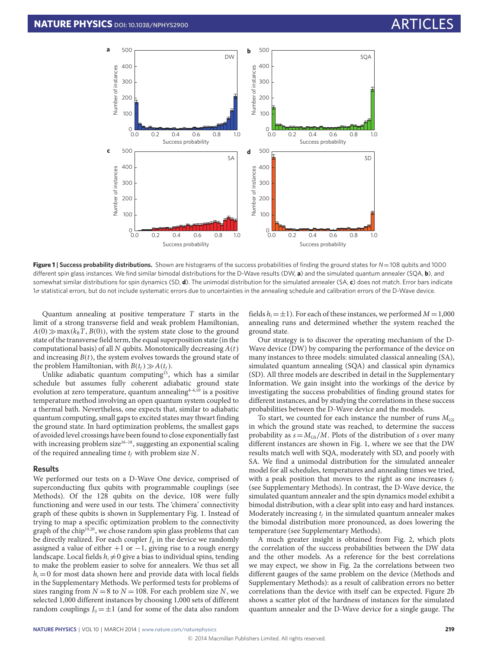

**Figure 1 | Success probability distributions.** Shown are histograms of the success probabilities of finding the ground states for *N*=108 qubits and 1000 different spin glass instances. We find similar bimodal distributions for the D-Wave results (DW, a) and the simulated quantum annealer (SQA, b), and somewhat similar distributions for spin dynamics (SD, **d**). The unimodal distribution for the simulated annealer (SA, **c**) does not match. Error bars indicate 1σ statistical errors, but do not include systematic errors due to uncertainties in the annealing schedule and calibration errors of the D-Wave device.

Quantum annealing at positive temperature T starts in the limit of a strong transverse field and weak problem Hamiltonian,  $A(0) \gg \max(k_B T, B(0))$ , with the system state close to the ground state of the transverse field term, the equal superposition state (in the computational basis) of all  $N$  qubits. Monotonically decreasing  $A(t)$ and increasing  $B(t)$ , the system evolves towards the ground state of the problem Hamiltonian, with  $B(t_f) \gg A(t_f)$ .

Unlike adiabatic quantum computing<sup>[15](#page-5-13)</sup>, which has a similar schedule but assumes fully coherent adiabatic ground state evolution at zero temperature, quantum annealing<sup>[4](#page-5-3)-6[,10](#page-5-8)</sup> is a positive temperature method involving an open quantum system coupled to a thermal bath. Nevertheless, one expects that, similar to adiabatic quantum computing, small gaps to excited states may thwart finding the ground state. In hard optimization problems, the smallest gaps of avoided level crossings have been found to close exponentially fast with increasing problem size $16-18$  $16-18$ , suggesting an exponential scaling of the required annealing time  $t_f$  with problem size  $N$ .

### **Results**

We performed our tests on a D-Wave One device, comprised of superconducting flux qubits with programmable couplings (see Methods). Of the 128 qubits on the device, 108 were fully functioning and were used in our tests. The 'chimera' connectivity graph of these qubits is shown in Supplementary Fig. 1. Instead of trying to map a specific optimization problem to the connectivity graph of the chip<sup>[19,](#page-5-16)[20](#page-6-0)</sup>, we chose random spin glass problems that can be directly realized. For each coupler  $J_{ij}$  in the device we randomly assigned a value of either  $+1$  or  $-1$ , giving rise to a rough energy landscape. Local fields  $h_i \neq 0$  give a bias to individual spins, tending to make the problem easier to solve for annealers. We thus set all  $h_i = 0$  for most data shown here and provide data with local fields in the Supplementary Methods. We performed tests for problems of sizes ranging from  $N = 8$  to  $N = 108$ . For each problem size N, we selected 1,000 different instances by choosing 1,000 sets of different random couplings  $J_{ii} = \pm 1$  (and for some of the data also random

<span id="page-1-0"></span>fields  $h_i = \pm 1$ ). For each of these instances, we performed  $M = 1,000$ annealing runs and determined whether the system reached the ground state.

Our strategy is to discover the operating mechanism of the D-Wave device (DW) by comparing the performance of the device on many instances to three models: simulated classical annealing (SA), simulated quantum annealing (SQA) and classical spin dynamics (SD). All three models are described in detail in the Supplementary Information. We gain insight into the workings of the device by investigating the success probabilities of finding ground states for different instances, and by studying the correlations in these success probabilities between the D-Wave device and the models.

To start, we counted for each instance the number of runs  $M_{GS}$ in which the ground state was reached, to determine the success probability as  $s = M_{GS}/M$ . Plots of the distribution of s over many different instances are shown in Fig. [1,](#page-1-0) where we see that the DW results match well with SQA, moderately with SD, and poorly with SA. We find a unimodal distribution for the simulated annealer model for all schedules, temperatures and annealing times we tried, with a peak position that moves to the right as one increases  $t_f$ (see Supplementary Methods). In contrast, the D-Wave device, the simulated quantum annealer and the spin dynamics model exhibit a bimodal distribution, with a clear split into easy and hard instances. Moderately increasing  $t_f$  in the simulated quantum annealer makes the bimodal distribution more pronounced, as does lowering the temperature (see Supplementary Methods).

A much greater insight is obtained from Fig. [2,](#page-2-0) which plots the correlation of the success probabilities between the DW data and the other models. As a reference for the best correlations we may expect, we show in Fig. [2a](#page-2-0) the correlations between two different gauges of the same problem on the device (Methods and Supplementary Methods): as a result of calibration errors no better correlations than the device with itself can be expected. Figure [2b](#page-2-0) shows a scatter plot of the hardness of instances for the simulated quantum annealer and the D-Wave device for a single gauge. The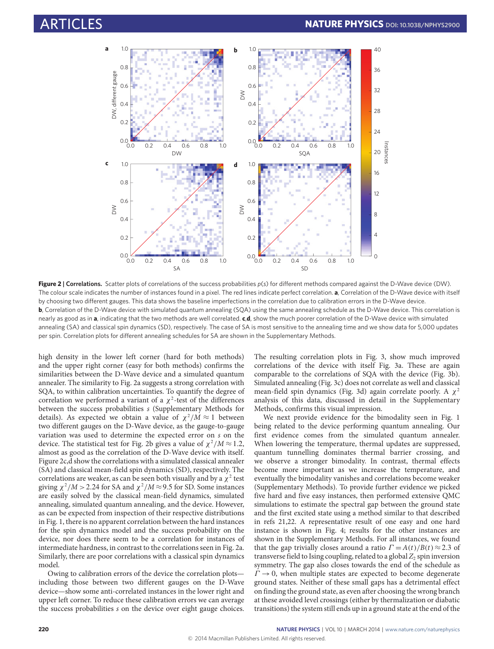

<span id="page-2-0"></span>**Figure 2** | Correlations. Scatter plots of correlations of the success probabilities  $p(s)$  for different methods compared against the D-Wave device (DW). The colour scale indicates the number of instances found in a pixel. The red lines indicate perfect correlation. **a**, Correlation of the D-Wave device with itself by choosing two different gauges. This data shows the baseline imperfections in the correlation due to calibration errors in the D-Wave device. **b**, Correlation of the D-Wave device with simulated quantum annealing (SQA) using the same annealing schedule as the D-Wave device. This correlation is nearly as good as in **a**, indicating that the two methods are well correlated. **c**,**d**, show the much poorer correlation of the D-Wave device with simulated annealing (SA) and classical spin dynamics (SD), respectively. The case of SA is most sensitive to the annealing time and we show data for 5,000 updates per spin. Correlation plots for different annealing schedules for SA are shown in the Supplementary Methods.

high density in the lower left corner (hard for both methods) and the upper right corner (easy for both methods) confirms the similarities between the D-Wave device and a simulated quantum annealer. The similarity to Fig. [2a](#page-2-0) suggests a strong correlation with SQA, to within calibration uncertainties. To quantify the degree of correlation we performed a variant of a  $\chi^2$ -test of the differences between the success probabilities s (Supplementary Methods for details). As expected we obtain a value of  $\chi^2/M \approx 1$  between two different gauges on the D-Wave device, as the gauge-to-gauge variation was used to determine the expected error on s on the device. The statistical test for Fig. [2b](#page-2-0) gives a value of  $\chi^2/M \approx 1.2$ , almost as good as the correlation of the D-Wave device with itself. Figure [2c](#page-2-0),d show the correlations with a simulated classical annealer (SA) and classical mean-field spin dynamics (SD), respectively. The correlations are weaker, as can be seen both visually and by a  $\chi^2$  test giving  $\chi^2/M > 2.24$  for SA and  $\chi^2/M \approx 9.5$  for SD. Some instances are easily solved by the classical mean-field dynamics, simulated annealing, simulated quantum annealing, and the device. However, as can be expected from inspection of their respective distributions in Fig. [1,](#page-1-0) there is no apparent correlation between the hard instances for the spin dynamics model and the success probability on the device, nor does there seem to be a correlation for instances of intermediate hardness, in contrast to the correlations seen in Fig. [2a](#page-2-0). Similarly, there are poor correlations with a classical spin dynamics model.

Owing to calibration errors of the device the correlation plots including those between two different gauges on the D-Wave device—show some anti-correlated instances in the lower right and upper left corner. To reduce these calibration errors we can average the success probabilities s on the device over eight gauge choices.

The resulting correlation plots in Fig. [3,](#page-3-0) show much improved correlations of the device with itself Fig. [3a](#page-3-0). These are again comparable to the correlations of SQA with the device (Fig. [3b](#page-3-0)). Simulated annealing (Fig. [3c](#page-3-0)) does not correlate as well and classical mean-field spin dynamics (Fig. [3d](#page-3-0)) again correlate poorly. A  $\chi^2$ analysis of this data, discussed in detail in the Supplementary Methods, confirms this visual impression.

We next provide evidence for the bimodality seen in Fig. [1](#page-1-0) being related to the device performing quantum annealing. Our first evidence comes from the simulated quantum annealer. When lowering the temperature, thermal updates are suppressed, quantum tunnelling dominates thermal barrier crossing, and we observe a stronger bimodality. In contrast, thermal effects become more important as we increase the temperature, and eventually the bimodality vanishes and correlations become weaker (Supplementary Methods). To provide further evidence we picked five hard and five easy instances, then performed extensive QMC simulations to estimate the spectral gap between the ground state and the first excited state using a method similar to that described in refs [21,](#page-6-1)[22.](#page-6-2) A representative result of one easy and one hard instance is shown in Fig. [4;](#page-3-1) results for the other instances are shown in the Supplementary Methods. For all instances, we found that the gap trivially closes around a ratio  $\Gamma = A(t)/B(t) \approx 2.3$  of transverse field to Ising coupling, related to a global  $Z_2$  spin inversion symmetry. The gap also closes towards the end of the schedule as  $\Gamma \rightarrow 0$ , when multiple states are expected to become degenerate ground states. Neither of these small gaps has a detrimental effect on finding the ground state, as even after choosing the wrong branch at these avoided level crossings (either by thermalization or diabatic transitions) the system still ends up in a ground state at the end of the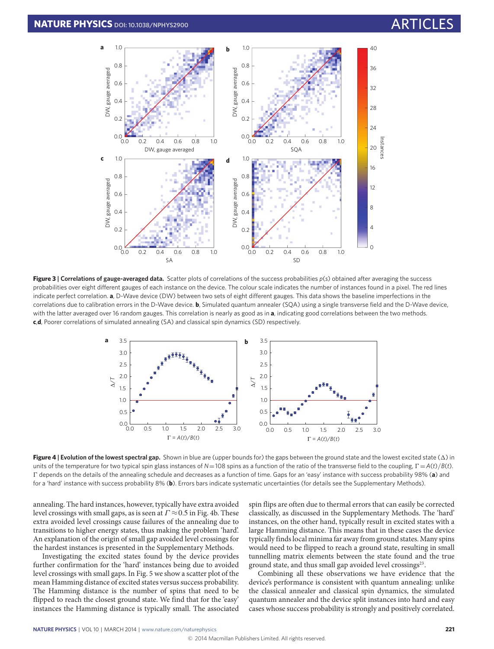

**Figure 3 | Correlations of gauge-averaged data.** Scatter plots of correlations of the success probabilities *p*(*s*) obtained after averaging the success probabilities over eight different gauges of each instance on the device. The colour scale indicates the number of instances found in a pixel. The red lines indicate perfect correlation. **a**, D-Wave device (DW) between two sets of eight different gauges. This data shows the baseline imperfections in the correlations due to calibration errors in the D-Wave device. **b**, Simulated quantum annealer (SQA) using a single transverse field and the D-Wave device, with the latter averaged over 16 random gauges. This correlation is nearly as good as in **a**, indicating good correlations between the two methods. **c**,**d**, Poorer correlations of simulated annealing (SA) and classical spin dynamics (SD) respectively.

<span id="page-3-0"></span>

**Figure 4 | Evolution of the lowest spectral gap.** Shown in blue are (upper bounds for) the gaps between the ground state and the lowest excited state (1) in units of the temperature for two typical spin glass instances of  $N=108$  spins as a function of the ratio of the transverse field to the coupling,  $\Gamma = A(t)/B(t)$ . 0 depends on the details of the annealing schedule and decreases as a function of time. Gaps for an 'easy' instance with success probability 98% (**a**) and for a 'hard' instance with success probability 8% (**b**). Errors bars indicate systematic uncertainties (for details see the Supplementary Methods).

annealing. The hard instances, however, typically have extra avoided level crossings with small gaps, as is seen at  $\Gamma \approx 0.5$  in Fig. [4b](#page-3-1). These extra avoided level crossings cause failures of the annealing due to transitions to higher energy states, thus making the problem 'hard'. An explanation of the origin of small gap avoided level crossings for the hardest instances is presented in the Supplementary Methods.

Investigating the excited states found by the device provides further confirmation for the 'hard' instances being due to avoided level crossings with small gaps. In Fig. [5](#page-4-0) we show a scatter plot of the mean Hamming distance of excited states versus success probability. The Hamming distance is the number of spins that need to be flipped to reach the closest ground state. We find that for the 'easy' instances the Hamming distance is typically small. The associated <span id="page-3-1"></span>spin flips are often due to thermal errors that can easily be corrected classically, as discussed in the Supplementary Methods. The 'hard' instances, on the other hand, typically result in excited states with a large Hamming distance. This means that in these cases the device typically finds local minima far away from ground states. Many spins would need to be flipped to reach a ground state, resulting in small tunnelling matrix elements between the state found and the true ground state, and thus small gap avoided level crossings<sup>[23](#page-6-3)</sup>.

Combining all these observations we have evidence that the device's performance is consistent with quantum annealing: unlike the classical annealer and classical spin dynamics, the simulated quantum annealer and the device split instances into hard and easy cases whose success probability is strongly and positively correlated.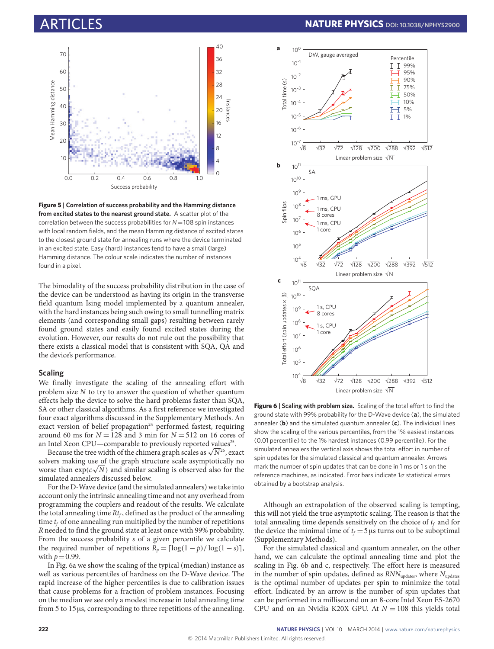

<span id="page-4-0"></span>**Figure 5 | Correlation of success probability and the Hamming distance from excited states to the nearest ground state.** A scatter plot of the correlation between the success probabilities for *N*=108 spin instances with local random fields, and the mean Hamming distance of excited states to the closest ground state for annealing runs where the device terminated in an excited state. Easy (hard) instances tend to have a small (large) Hamming distance. The colour scale indicates the number of instances found in a pixel.

The bimodality of the success probability distribution in the case of the device can be understood as having its origin in the transverse field quantum Ising model implemented by a quantum annealer, with the hard instances being such owing to small tunnelling matrix elements (and corresponding small gaps) resulting between rarely found ground states and easily found excited states during the evolution. However, our results do not rule out the possibility that there exists a classical model that is consistent with SQA, QA and the device's performance.

### **Scaling**

We finally investigate the scaling of the annealing effort with problem size  $N$  to try to answer the question of whether quantum effects help the device to solve the hard problems faster than SQA, SA or other classical algorithms. As a first reference we investigated four exact algorithms discussed in the Supplementary Methods. An exact version of belief propagation<sup>[24](#page-6-4)</sup> performed fastest, requiring around 60 ms for  $N = 128$  and 3 min for  $N = 512$  on 16 cores of an Intel Xeon CPU—comparable to previously reported values<sup>[25](#page-6-5)</sup>.

Intel Xeon CPU—comparable to previously reported values<sup>25</sup>.<br>Because the tree width of the chimera graph scales as  $\sqrt{N^{26}}$  $\sqrt{N^{26}}$  $\sqrt{N^{26}}$ , exact solvers making use  $\underline{\rm of}$  the graph structure scale asymptotically no worse than  $\exp(c\sqrt{N})$  and similar scaling is observed also for the simulated annealers discussed below.

For the D-Wave device (and the simulated annealers) we take into account only the intrinsic annealing time and not any overhead from programming the couplers and readout of the results. We calculate the total annealing time  $Rt_f$ , defined as the product of the annealing time  $t_f$  of one annealing run multiplied by the number of repetitions R needed to find the ground state at least once with 99% probability. From the success probability s of a given percentile we calculate the required number of repetitions  $R_p = \left\lceil \log(1 - p)/\log(1 - s) \right\rceil$ , with  $p=0.99$ .

In Fig. [6a](#page-4-1) we show the scaling of the typical (median) instance as well as various percentiles of hardness on the D-Wave device. The rapid increase of the higher percentiles is due to calibration issues that cause problems for a fraction of problem instances. Focusing on the median we see only a modest increase in total annealing time from 5 to 15µs, corresponding to three repetitions of the annealing.



<span id="page-4-1"></span>Figure 6 | Scaling with problem size. Scaling of the total effort to find the ground state with 99% probability for the D-Wave device (**a**), the simulated annealer (**b**) and the simulated quantum annealer (**c**). The individual lines show the scaling of the various percentiles, from the 1% easiest instances (0.01 percentile) to the 1% hardest instances (0.99 percentile). For the simulated annealers the vertical axis shows the total effort in number of spin updates for the simulated classical and quantum annealer. Arrows mark the number of spin updates that can be done in 1 ms or 1 s on the reference machines, as indicated. Error bars indicate  $1\sigma$  statistical errors obtained by a bootstrap analysis.

Although an extrapolation of the observed scaling is tempting, this will not yield the true asymptotic scaling. The reason is that the total annealing time depends sensitively on the choice of  $t_f$  and for the device the minimal time of  $t_f = 5 \,\mu s$  turns out to be suboptimal (Supplementary Methods).

For the simulated classical and quantum annealer, on the other hand, we can calculate the optimal annealing time and plot the scaling in Fig. [6b](#page-4-1) and c, respectively. The effort here is measured in the number of spin updates, defined as  $RNN_{\text{update}}$ , where  $N_{\text{update}}$ is the optimal number of updates per spin to minimize the total effort. Indicated by an arrow is the number of spin updates that can be performed in a millisecond on an 8-core Intel Xeon E5-2670 CPU and on an Nvidia K20X GPU. At  $N = 108$  this yields total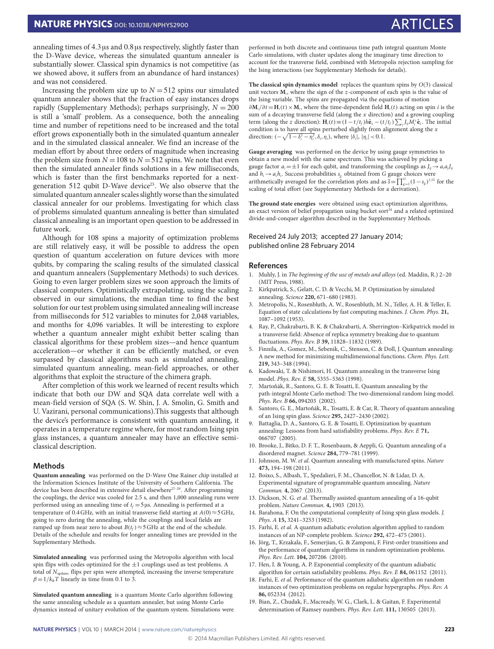annealing times of 4.3µs and 0.8µs respectively, slightly faster than the D-Wave device, whereas the simulated quantum annealer is substantially slower. Classical spin dynamics is not competitive (as we showed above, it suffers from an abundance of hard instances) and was not considered.

Increasing the problem size up to  $N = 512$  spins our simulated quantum annealer shows that the fraction of easy instances drops rapidly (Supplementary Methods); perhaps surprisingly,  $N = 200$ is still a 'small' problem. As a consequence, both the annealing time and number of repetitions need to be increased and the total effort grows exponentially both in the simulated quantum annealer and in the simulated classical annealer. We find an increase of the median effort by about three orders of magnitude when increasing the problem size from  $N = 108$  to  $N = 512$  spins. We note that even then the simulated annealer finds solutions in a few milliseconds, which is faster than the first benchmarks reported for a next-generation 512 qubit D-Wave device<sup>[25](#page-6-5)</sup>. We also observe that the simulated quantum annealer scales slightly worse than the simulated classical annealer for our problems. Investigating for which class of problems simulated quantum annealing is better than simulated classical annealing is an important open question to be addressed in future work.

Although for 108 spins a majority of optimization problems are still relatively easy, it will be possible to address the open question of quantum acceleration on future devices with more qubits, by comparing the scaling results of the simulated classical and quantum annealers (Supplementary Methods) to such devices. Going to even larger problem sizes we soon approach the limits of classical computers. Optimistically extrapolating, using the scaling observed in our simulations, the median time to find the best solution for our test problem using simulated annealing will increase from milliseconds for 512 variables to minutes for 2,048 variables, and months for 4,096 variables. It will be interesting to explore whether a quantum annealer might exhibit better scaling than classical algorithms for these problem sizes—and hence quantum acceleration—or whether it can be efficiently matched, or even surpassed by classical algorithms such as simulated annealing, simulated quantum annealing, mean-field approaches, or other algorithms that exploit the structure of the chimera graph.

After completion of this work we learned of recent results which indicate that both our DW and SQA data correlate well with a mean-field version of SQA (S. W. Shin, J. A. Smolin, G. Smith and U. Vazirani, personal communications).This suggests that although the device's performance is consistent with quantum annealing, it operates in a temperature regime where, for most random Ising spin glass instances, a quantum annealer may have an effective semiclassical description.

### **Methods**

**Quantum annealing** was performed on the D-Wave One Rainer chip installed at the Information Sciences Institute of the University of Southern California. The device has been described in extensive detail elsewhere<sup>[27](#page-6-7)-29</sup>. After programming the couplings, the device was cooled for 2.5 s, and then 1,000 annealing runs were performed using an annealing time of  $t_f = 5 \,\mu s$ . Annealing is performed at a temperature of 0.4 GHz, with an initial transverse field starting at  $A(0) \approx 5$  GHz, going to zero during the annealing, while the couplings and local fields are ramped up from near zero to about  $B(t_f) \approx 5$  GHz at the end of the schedule. Details of the schedule and results for longer annealing times are provided in the Supplementary Methods.

**Simulated annealing** was performed using the Metropolis algorithm with local spin flips with codes optimized for the ±1 couplings used as test problems. A total of  $N_{\text{update}}$  flips per spin were attempted, increasing the inverse temperature  $\beta = 1/k_B T$  linearly in time from 0.1 to 3.

**Simulated quantum annealing** is a quantum Monte Carlo algorithm following the same annealing schedule as a quantum annealer, but using Monte Carlo dynamics instead of unitary evolution of the quantum system. Simulations were performed in both discrete and continuous time path integral quantum Monte Carlo simulations, with cluster updates along the imaginary time direction to account for the transverse field, combined with Metropolis rejection sampling for the Ising interactions (see Supplementary Methods for details).

**The classical spin dynamics model** replaces the quantum spins by O(3) classical unit vectors  $M_i$ , where the sign of the  $z$ -component of each spin is the value of the Ising variable. The spins are propagated via the equations of motion ∂ $M_i/\partial t = H_i(t) \times M_i$ , where the time-dependent field  $H_i(t)$  acting on spin *i* is the sum of a decaying transverse field (along the  $x$  direction) and a growing coupling term (along the *z* direction):  $\mathbf{H}_i(t) \equiv (1 - t/t_f)h\hat{\mathbf{e}}_x - (t/t_f) \sum_j J_{ij}M_i^z \hat{\mathbf{e}}_z$ . The initial condition is to have all spins perturbed slightly from alignment along the  $x$ direction:  $\left(-\sqrt{1-\delta_i^2-\eta_i^2},\delta_i,\eta_i\right)$ , where  $|\delta_i|, |\eta_i| < 0.1$ .

**Gauge averaging** was performed on the device by using gauge symmetries to obtain a new model with the same spectrum. This was achieved by picking a gauge factor  $a_i = \pm 1$  for each qubit, and transforming the couplings as  $J_{ii} \rightarrow a_i a_i J_{ii}$ and  $h_i \rightarrow a_i h_i$ . Success probabilities  $s_g$  obtained from G gauge choices were arithmetically averaged for the correlation plots and as  $\bar{s} = \prod_{g=1}^{G} (1 - s_g)^{1/G}$  for the scaling of total effort (see Supplementary Methods for a derivation).

**The ground state energies** were obtained using exact optimization algorithms, an exact version of belief propagation using bucket sort $^{24}$  $^{24}$  $^{24}$  and a related optimized divide-and-conquer algorithm described in the Supplementary Methods.

### Received 24 July 2013; accepted 27 January 2014; published online 28 February 2014

### **References**

- <span id="page-5-0"></span>1. Muhly, J. in The beginning of the use of metals and alloys (ed. Maddin, R.) 2–20 (MIT Press, 1988).
- <span id="page-5-1"></span>2. Kirkpatrick, S., Gelatt, C. D. & Vecchi, M. P. Optimization by simulated annealing. Science **220,** 671–680 (1983).
- <span id="page-5-2"></span>3. Metropolis, N., Rosenbluth, A. W., Rosenbluth, M. N., Teller, A. H. & Teller, E. Equation of state calculations by fast computing machines. J. Chem. Phys. **21,** 1087–1092 (1953).
- <span id="page-5-3"></span>4. Ray, P., Chakrabarti, B. K. & Chakrabarti, A. Sherrington–Kirkpatrick model in a transverse field: Absence of replica symmetry breaking due to quantum fluctuations. Phys. Rev. B **39,** 11828–11832 (1989).
- 5. Finnila, A., Gomez, M., Sebenik, C., Stenson, C. & Doll, J. Quantum annealing: A new method for minimizing multidimensional functions. Chem. Phys. Lett. **219,** 343–348 (1994).
- <span id="page-5-4"></span>6. Kadowaki, T. & Nishimori, H. Quantum annealing in the transverse Ising model. Phys. Rev. E **58,** 5355–5363 (1998).
- <span id="page-5-5"></span>7. Martoňák, R., Santoro, G. E. & Tosatti, E. Quantum annealing by the path-integral Monte Carlo method: The two-dimensional random Ising model. Phys. Rev. B **66,** 094203 (2002).
- <span id="page-5-6"></span>8. Santoro, G. E., Martoňák, R., Tosatti, E. & Car, R. Theory of quantum annealing of an Ising spin glass. Science **295,** 2427–2430 (2002).
- <span id="page-5-7"></span>9. Battaglia, D. A., Santoro, G. E. & Tosatti, E. Optimization by quantum annealing: Lessons from hard satisfiability problems. Phys. Rev. E **71,** 066707 (2005).
- <span id="page-5-8"></span>10. Brooke, J., Bitko, D. F. T., Rosenbaum, & Aeppli, G. Quantum annealing of a disordered magnet. Science **284,** 779–781 (1999).
- <span id="page-5-9"></span>11. Johnson, M. W. et al. Quantum annealing with manufactured spins. Nature **473,** 194–198 (2011).
- <span id="page-5-10"></span>12. Boixo, S., Albash, T., Spedalieri, F. M., Chancellor, N. & Lidar, D. A. Experimental signature of programmable quantum annealing. Nature Commun. **4,** 2067 (2013).
- <span id="page-5-11"></span>13. Dickson, N. G. et al. Thermally assisted quantum annealing of a 16-qubit problem. Nature Commun. **4,** 1903 (2013).
- <span id="page-5-12"></span>14. Barahona, F. On the computational complexity of Ising spin glass models. J. Phys. A **15,** 3241–3253 (1982).
- <span id="page-5-13"></span>15. Farhi, E. et al. A quantum adiabatic evolution algorithm applied to random instances of an NP-complete problem. Science **292,** 472–475 (2001).
- <span id="page-5-14"></span>16. Jörg, T., Krzakala, F., Semerjian, G. & Zamponi, F. First-order transitions and the performance of quantum algorithms in random optimization problems. Phys. Rev. Lett. **104,** 207206 (2010).
- 17. Hen, I. & Young, A. P. Exponential complexity of the quantum adiabatic algorithm for certain satisfiability problems. Phys. Rev. E **84,** 061152 (2011).
- <span id="page-5-15"></span>18. Farhi, E. et al. Performance of the quantum adiabatic algorithm on random instances of two optimization problems on regular hypergraphs. Phys. Rev. A **86,** 052334 (2012).
- <span id="page-5-16"></span>19. Bian, Z., Chudak, F., Macready, W. G., Clark, L. & Gaitan, F. Experimental determination of Ramsey numbers. Phys. Rev. Lett. **111,** 130505 (2013).